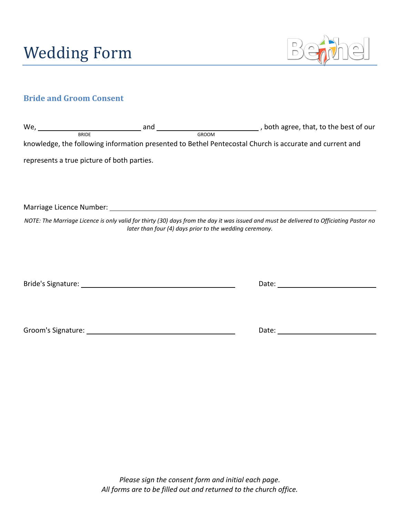

# **Bride and Groom Consent**

| $We, \_\_$                                 | and                                                                                                                                                                                                                            |                                                                                                                                                                                                    |
|--------------------------------------------|--------------------------------------------------------------------------------------------------------------------------------------------------------------------------------------------------------------------------------|----------------------------------------------------------------------------------------------------------------------------------------------------------------------------------------------------|
| <b>BRIDE</b>                               |                                                                                                                                                                                                                                | <b>GROOM</b>                                                                                                                                                                                       |
|                                            |                                                                                                                                                                                                                                | knowledge, the following information presented to Bethel Pentecostal Church is accurate and current and                                                                                            |
| represents a true picture of both parties. |                                                                                                                                                                                                                                |                                                                                                                                                                                                    |
|                                            |                                                                                                                                                                                                                                |                                                                                                                                                                                                    |
|                                            |                                                                                                                                                                                                                                |                                                                                                                                                                                                    |
|                                            |                                                                                                                                                                                                                                | NOTE: The Marriage Licence is only valid for thirty (30) days from the day it was issued and must be delivered to Officiating Pastor no<br>later than four (4) days prior to the wedding ceremony. |
|                                            |                                                                                                                                                                                                                                |                                                                                                                                                                                                    |
|                                            |                                                                                                                                                                                                                                |                                                                                                                                                                                                    |
|                                            | Bride's Signature: The Contract of the Contract of the Contract of the Contract of the Contract of the Contract of the Contract of the Contract of the Contract of the Contract of the Contract of the Contract of the Contrac | Date:                                                                                                                                                                                              |

Groom's Signature: Date: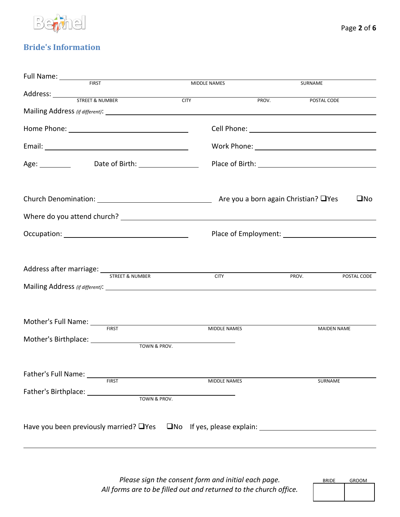

## **Bride's Information**

| Full Name: _______                                                             |                     |       |                    |
|--------------------------------------------------------------------------------|---------------------|-------|--------------------|
| <b>FIRST</b>                                                                   | MIDDLE NAMES        |       | SURNAME            |
|                                                                                |                     |       |                    |
|                                                                                | <b>CITY</b>         | PROV. | POSTAL CODE        |
|                                                                                |                     |       |                    |
|                                                                                |                     |       |                    |
|                                                                                |                     |       |                    |
|                                                                                |                     |       |                    |
|                                                                                |                     |       | $\square$ No       |
|                                                                                |                     |       |                    |
|                                                                                |                     |       |                    |
| Address after marriage: STREET& NUMBER                                         | <b>CITY</b>         | PROV. | POSTAL CODE        |
| Mother's Full Name: FIRST                                                      |                     |       |                    |
|                                                                                | MIDDLE NAMES        |       | <b>MAIDEN NAME</b> |
|                                                                                |                     |       |                    |
|                                                                                | <b>MIDDLE NAMES</b> |       | SURNAME            |
|                                                                                |                     |       |                    |
| Have you been previously married? $\Box$ Yes $\Box$ No If yes, please explain: |                     |       |                    |

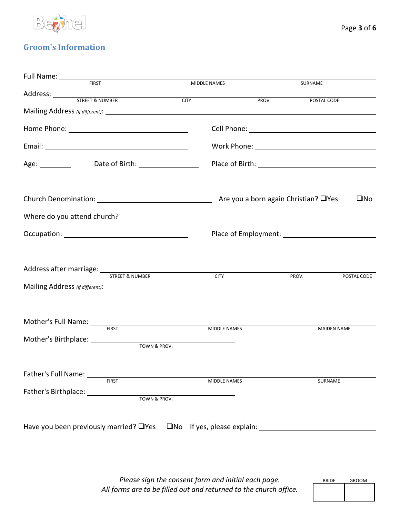

## **Groom's Information**

| Full Name: ________                                                                   |                     |       |                      |
|---------------------------------------------------------------------------------------|---------------------|-------|----------------------|
| <b>FIRST</b>                                                                          | MIDDLE NAMES        |       | SURNAME              |
|                                                                                       | <b>CITY</b>         | PROV. | POSTAL CODE          |
|                                                                                       |                     |       |                      |
|                                                                                       |                     |       |                      |
|                                                                                       |                     |       |                      |
|                                                                                       |                     |       |                      |
| Age: Date of Birth: 1990 Magnus 2014                                                  |                     |       |                      |
|                                                                                       |                     |       |                      |
|                                                                                       |                     |       | $\square$ No         |
|                                                                                       |                     |       |                      |
|                                                                                       |                     |       |                      |
| Address after marriage: STREET & NUMBER                                               |                     |       |                      |
|                                                                                       | <b>CITY</b>         |       | PROV.<br>POSTAL CODE |
|                                                                                       |                     |       |                      |
| Mother's Full Name: FIRST                                                             | MIDDLE NAMES        |       | <b>MAIDEN NAME</b>   |
|                                                                                       |                     |       |                      |
|                                                                                       |                     |       |                      |
|                                                                                       |                     |       |                      |
|                                                                                       | <b>MIDDLE NAMES</b> |       | <b>SURNAME</b>       |
|                                                                                       |                     |       |                      |
|                                                                                       |                     |       |                      |
| Have you been previously married? $\Box$ Yes $\Box$ No If yes, please explain: $\Box$ |                     |       |                      |
|                                                                                       |                     |       |                      |

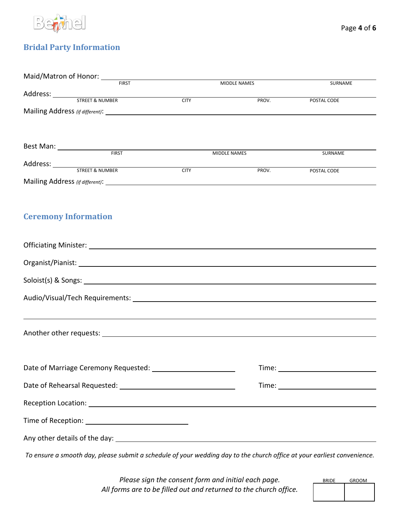

## **Bridal Party Information**

| Maid/Matron of Honor: Maid/Matron of Honor:                                                                                                                                                                                    |             |              |                                                                                                                                                                                                                                |
|--------------------------------------------------------------------------------------------------------------------------------------------------------------------------------------------------------------------------------|-------------|--------------|--------------------------------------------------------------------------------------------------------------------------------------------------------------------------------------------------------------------------------|
|                                                                                                                                                                                                                                |             | MIDDLE NAMES | SURNAME                                                                                                                                                                                                                        |
| Address: STREET & NUMBER                                                                                                                                                                                                       | <b>CITY</b> | PROV.        | POSTAL CODE                                                                                                                                                                                                                    |
|                                                                                                                                                                                                                                |             |              |                                                                                                                                                                                                                                |
|                                                                                                                                                                                                                                |             |              |                                                                                                                                                                                                                                |
|                                                                                                                                                                                                                                |             |              |                                                                                                                                                                                                                                |
|                                                                                                                                                                                                                                |             |              |                                                                                                                                                                                                                                |
| Best Man: <u>Containing the Season of Tirest Containers</u>                                                                                                                                                                    |             | MIDDLE NAMES | SURNAME                                                                                                                                                                                                                        |
| Address: STREET & NUMBER                                                                                                                                                                                                       | <b>CITY</b> | PROV.        | POSTAL CODE                                                                                                                                                                                                                    |
|                                                                                                                                                                                                                                |             |              |                                                                                                                                                                                                                                |
|                                                                                                                                                                                                                                |             |              |                                                                                                                                                                                                                                |
|                                                                                                                                                                                                                                |             |              |                                                                                                                                                                                                                                |
| <b>Ceremony Information</b>                                                                                                                                                                                                    |             |              |                                                                                                                                                                                                                                |
|                                                                                                                                                                                                                                |             |              |                                                                                                                                                                                                                                |
|                                                                                                                                                                                                                                |             |              |                                                                                                                                                                                                                                |
|                                                                                                                                                                                                                                |             |              |                                                                                                                                                                                                                                |
|                                                                                                                                                                                                                                |             |              |                                                                                                                                                                                                                                |
|                                                                                                                                                                                                                                |             |              |                                                                                                                                                                                                                                |
| Another other requests: Another states are all the states of the states of the states of the states of the states of the states of the states of the states of the states of the states of the states of the states of the sta |             |              |                                                                                                                                                                                                                                |
|                                                                                                                                                                                                                                |             |              |                                                                                                                                                                                                                                |
|                                                                                                                                                                                                                                |             |              |                                                                                                                                                                                                                                |
|                                                                                                                                                                                                                                |             |              | Time: Time: The Contract of the Contract of the Contract of the Contract of the Contract of the Contract of the Contract of the Contract of the Contract of the Contract of the Contract of the Contract of the Contract of th |
|                                                                                                                                                                                                                                |             |              |                                                                                                                                                                                                                                |
|                                                                                                                                                                                                                                |             |              |                                                                                                                                                                                                                                |
|                                                                                                                                                                                                                                |             |              |                                                                                                                                                                                                                                |

*To ensure a smooth day, please submit a schedule of your wedding day to the church office at your earliest convenience.*

*Please sign the consent form and initial each page. All forms are to be filled out and returned to the church office.*

| <b>BRIDE</b> | <b>GROOM</b> |
|--------------|--------------|
|              |              |
|              |              |
|              |              |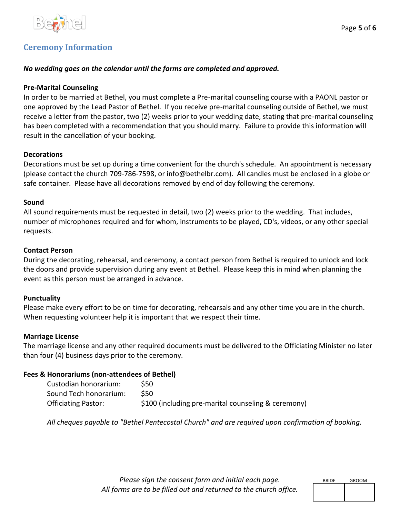

## **Ceremony Information**

### *No wedding goes on the calendar until the forms are completed and approved.*

### **Pre-Marital Counseling**

In order to be married at Bethel, you must complete a Pre-marital counseling course with a PAONL pastor or one approved by the Lead Pastor of Bethel. If you receive pre-marital counseling outside of Bethel, we must receive a letter from the pastor, two (2) weeks prior to your wedding date, stating that pre-marital counseling has been completed with a recommendation that you should marry. Failure to provide this information will result in the cancellation of your booking.

### **Decorations**

Decorations must be set up during a time convenient for the church's schedule. An appointment is necessary (please contact the church 709-786-7598, or info@bethelbr.com). All candles must be enclosed in a globe or safe container. Please have all decorations removed by end of day following the ceremony.

### **Sound**

All sound requirements must be requested in detail, two (2) weeks prior to the wedding. That includes, number of microphones required and for whom, instruments to be played, CD's, videos, or any other special requests.

### **Contact Person**

During the decorating, rehearsal, and ceremony, a contact person from Bethel is required to unlock and lock the doors and provide supervision during any event at Bethel. Please keep this in mind when planning the event as this person must be arranged in advance.

### **Punctuality**

Please make every effort to be on time for decorating, rehearsals and any other time you are in the church. When requesting volunteer help it is important that we respect their time.

### **Marriage License**

The marriage license and any other required documents must be delivered to the Officiating Minister no later than four (4) business days prior to the ceremony.

### **Fees & Honorariums (non-attendees of Bethel)**

| Custodian honorarium:      | S50.                                                |
|----------------------------|-----------------------------------------------------|
| Sound Tech honorarium:     | S50.                                                |
| <b>Officiating Pastor:</b> | \$100 (including pre-marital counseling & ceremony) |

*All cheques payable to "Bethel Pentecostal Church" and are required upon confirmation of booking.*

*Please sign the consent form and initial each page. All forms are to be filled out and returned to the church office.*

| <b>BRIDE</b> | <b>GROOM</b> |
|--------------|--------------|
|              |              |
|              |              |
|              |              |